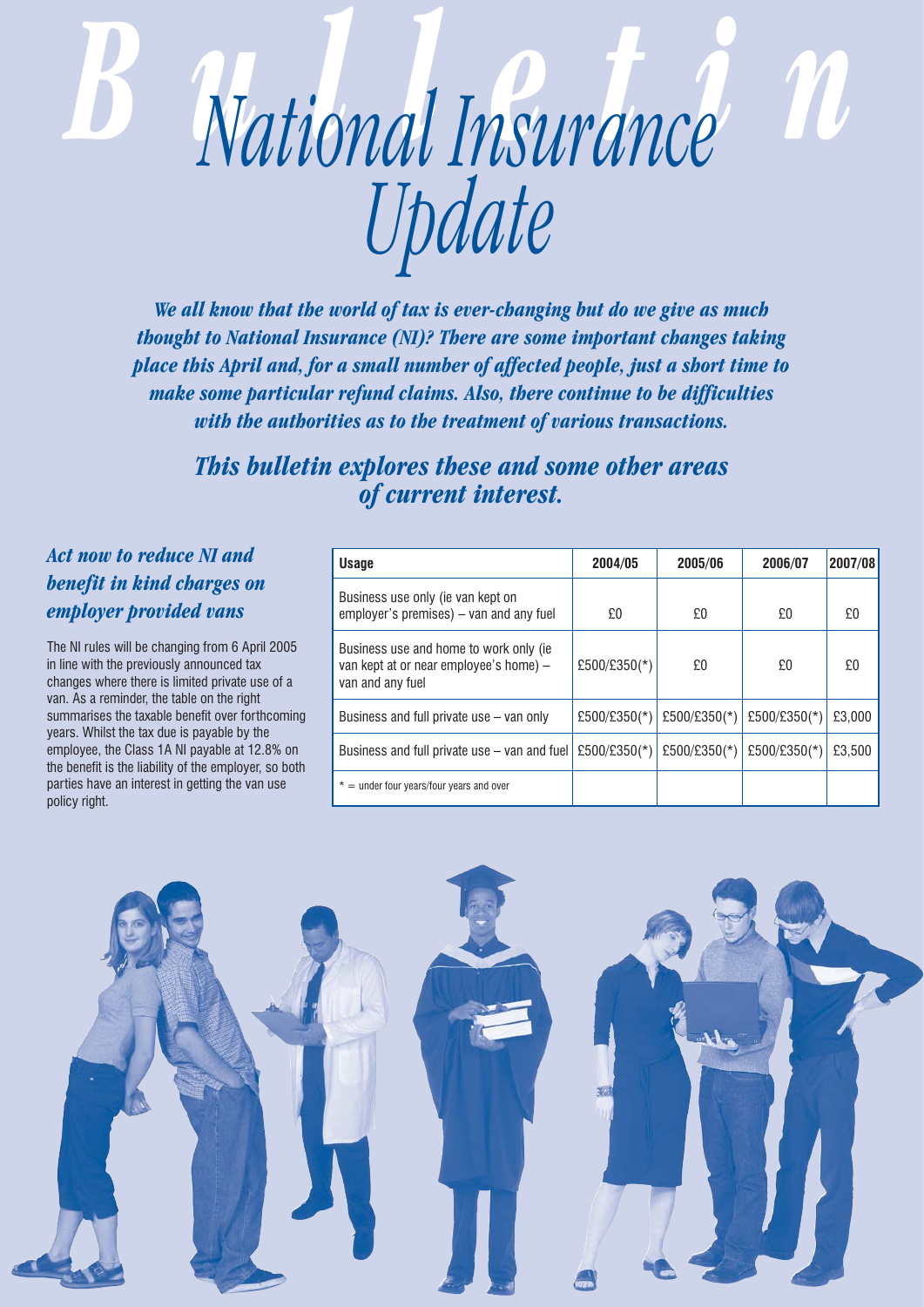# *Bulletin National Insurance Update*

*We all know that the world of tax is ever-changing but do we give as much thought to National Insurance (NI)? There are some important changes taking place this April and, for a small number of affected people, just a short time to make some particular refund claims. Also, there continue to be difficulties with the authorities as to the treatment of various transactions.* 

*This bulletin explores these and some other areas of current interest.*

## *Act now to reduce NI and benefit in kind charges on employer provided vans*

The NI rules will be changing from 6 April 2005 in line with the previously announced tax changes where there is limited private use of a van. As a reminder, the table on the right summarises the taxable benefit over forthcoming years. Whilst the tax due is payable by the employee, the Class 1A NI payable at 12.8% on the benefit is the liability of the employer, so both parties have an interest in getting the van use policy right.

| <b>Usage</b>                                                                                          | 2004/05      | 2005/06      | 2006/07      | 2007/08 |
|-------------------------------------------------------------------------------------------------------|--------------|--------------|--------------|---------|
| Business use only (ie van kept on<br>employer's premises) – van and any fuel                          | £0           | £0           | £0           | £0      |
| Business use and home to work only (ie)<br>van kept at or near employee's home) -<br>van and any fuel | £500/£350(*) | £0           | £0           | £0      |
| Business and full private use – van only                                                              | £500/£350(*) | £500/£350(*) | £500/£350(*) | £3,000  |
| Business and full private use – van and fuel                                                          | £500/£350(*) | £500/£350(*) | £500/£350(*) | £3,500  |
| $=$ under four years/four years and over<br>*                                                         |              |              |              |         |

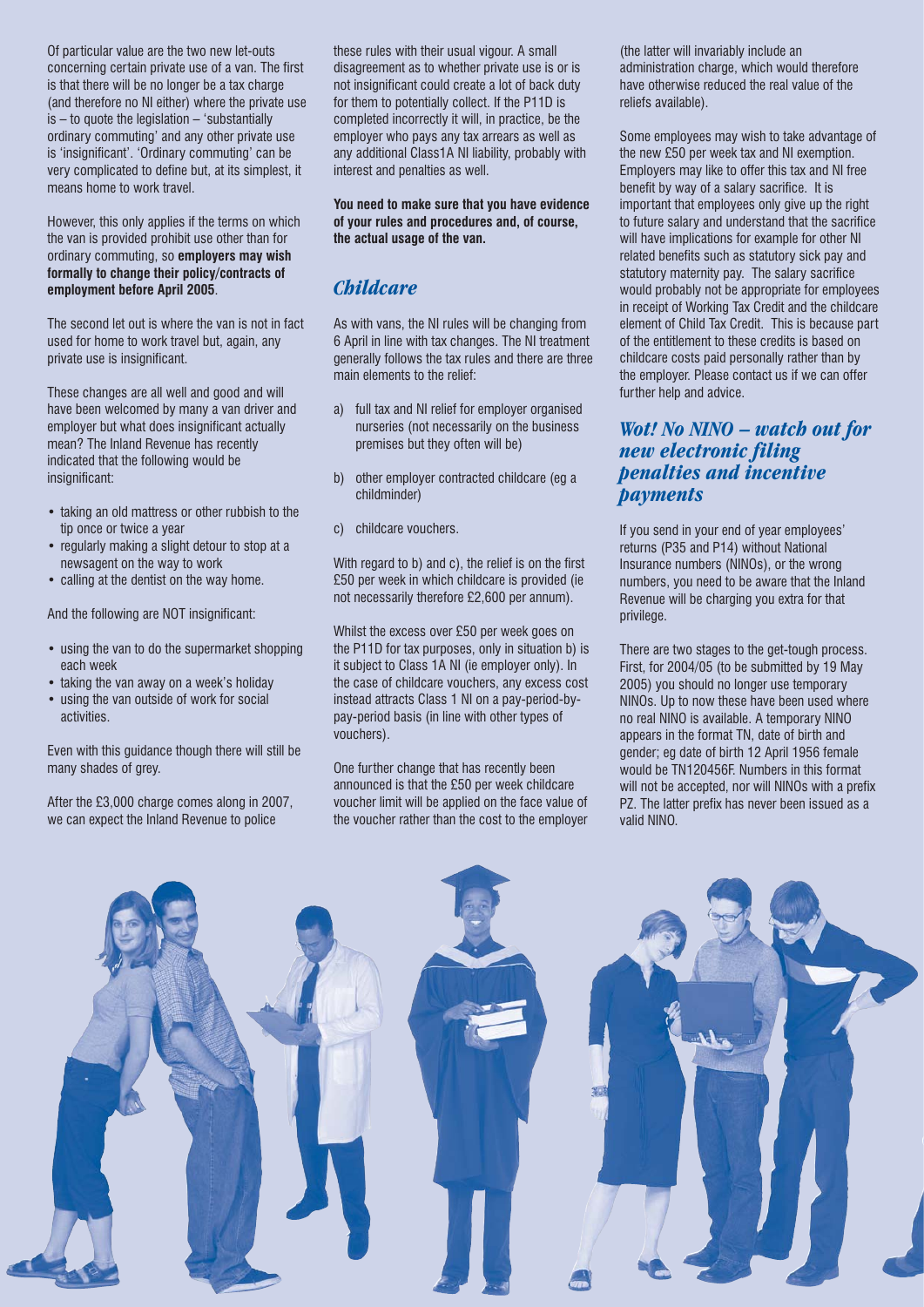Of particular value are the two new let-outs concerning certain private use of a van. The first is that there will be no longer be a tax charge (and therefore no NI either) where the private use is – to quote the legislation – 'substantially ordinary commuting' and any other private use is 'insignificant'. 'Ordinary commuting' can be very complicated to define but, at its simplest, it means home to work travel.

However, this only applies if the terms on which the van is provided prohibit use other than for ordinary commuting, so **employers may wish formally to change their policy/contracts of employment before April 2005**.

The second let out is where the van is not in fact used for home to work travel but, again, any private use is insignificant.

These changes are all well and good and will have been welcomed by many a van driver and employer but what does insignificant actually mean? The Inland Revenue has recently indicated that the following would be insignificant:

- taking an old mattress or other rubbish to the tip once or twice a year
- regularly making a slight detour to stop at a newsagent on the way to work
- calling at the dentist on the way home.

And the following are NOT insignificant:

- using the van to do the supermarket shopping each week
- taking the van away on a week's holiday
- using the van outside of work for social activities.

Even with this guidance though there will still be many shades of grey.

After the £3,000 charge comes along in 2007, we can expect the Inland Revenue to police

these rules with their usual vigour. A small disagreement as to whether private use is or is not insignificant could create a lot of back duty for them to potentially collect. If the P11D is completed incorrectly it will, in practice, be the employer who pays any tax arrears as well as any additional Class1A NI liability, probably with interest and penalties as well.

**You need to make sure that you have evidence of your rules and procedures and, of course, the actual usage of the van.**

## *Childcare*

As with vans, the NI rules will be changing from 6 April in line with tax changes. The NI treatment generally follows the tax rules and there are three main elements to the relief:

- a) full tax and NI relief for employer organised nurseries (not necessarily on the business premises but they often will be)
- b) other employer contracted childcare (eg a childminder)
- c) childcare vouchers.

With regard to b) and c), the relief is on the first £50 per week in which childcare is provided (ie not necessarily therefore £2,600 per annum).

Whilst the excess over £50 per week goes on the P11D for tax purposes, only in situation b) is it subject to Class 1A NI (ie employer only). In the case of childcare vouchers, any excess cost instead attracts Class 1 NI on a pay-period-bypay-period basis (in line with other types of vouchers).

One further change that has recently been announced is that the £50 per week childcare voucher limit will be applied on the face value of the voucher rather than the cost to the employer

(the latter will invariably include an administration charge, which would therefore have otherwise reduced the real value of the reliefs available).

Some employees may wish to take advantage of the new £50 per week tax and NI exemption. Employers may like to offer this tax and NI free benefit by way of a salary sacrifice. It is important that employees only give up the right to future salary and understand that the sacrifice will have implications for example for other NI related benefits such as statutory sick pay and statutory maternity pay. The salary sacrifice would probably not be appropriate for employees in receipt of Working Tax Credit and the childcare element of Child Tax Credit. This is because part of the entitlement to these credits is based on childcare costs paid personally rather than by the employer. Please contact us if we can offer further help and advice.

### *Wot! No NINO – watch out for new electronic filing penalties and incentive payments*

If you send in your end of year employees' returns (P35 and P14) without National Insurance numbers (NINOs), or the wrong numbers, you need to be aware that the Inland Revenue will be charging you extra for that privilege.

There are two stages to the get-tough process. First, for 2004/05 (to be submitted by 19 May 2005) you should no longer use temporary NINOs. Up to now these have been used where no real NINO is available. A temporary NINO appears in the format TN, date of birth and gender; eg date of birth 12 April 1956 female would be TN120456F. Numbers in this format will not be accepted, nor will NINOs with a prefix PZ. The latter prefix has never been issued as a valid NINO.

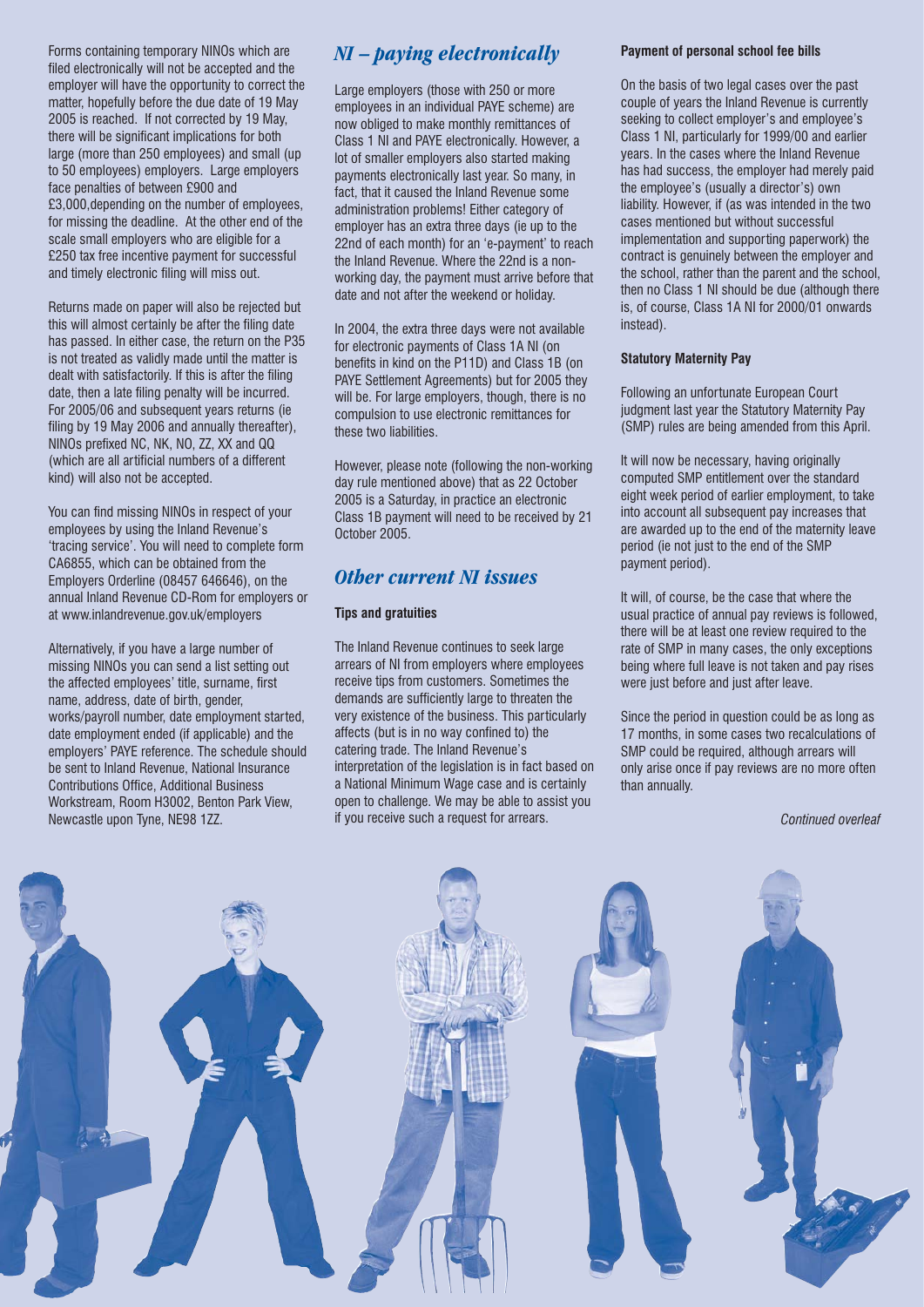Forms containing temporary NINOs which are filed electronically will not be accepted and the employer will have the opportunity to correct the matter, hopefully before the due date of 19 May 2005 is reached. If not corrected by 19 May, there will be significant implications for both large (more than 250 employees) and small (up to 50 employees) employers. Large employers face penalties of between £900 and £3,000,depending on the number of employees, for missing the deadline. At the other end of the scale small employers who are eligible for a £250 tax free incentive payment for successful and timely electronic filing will miss out.

Returns made on paper will also be rejected but this will almost certainly be after the filing date has passed. In either case, the return on the P35 is not treated as validly made until the matter is dealt with satisfactorily. If this is after the filing date, then a late filing penalty will be incurred. For 2005/06 and subsequent years returns (ie filing by 19 May 2006 and annually thereafter), NINOs prefixed NC, NK, NO, ZZ, XX and QQ (which are all artificial numbers of a different kind) will also not be accepted.

You can find missing NINOs in respect of your employees by using the Inland Revenue's 'tracing service'. You will need to complete form CA6855, which can be obtained from the Employers Orderline (08457 646646), on the annual Inland Revenue CD-Rom for employers or at www.inlandrevenue.gov.uk/employers

Alternatively, if you have a large number of missing NINOs you can send a list setting out the affected employees' title, surname, first name, address, date of birth, gender, works/payroll number, date employment started, date employment ended (if applicable) and the employers' PAYE reference. The schedule should be sent to Inland Revenue, National Insurance Contributions Office, Additional Business Workstream, Room H3002, Benton Park View, Newcastle upon Tyne, NE98 1ZZ.

# *NI – paying electronically*

Large employers (those with 250 or more employees in an individual PAYE scheme) are now obliged to make monthly remittances of Class 1 NI and PAYE electronically. However, a lot of smaller employers also started making payments electronically last year. So many, in fact, that it caused the Inland Revenue some administration problems! Either category of employer has an extra three days (ie up to the 22nd of each month) for an 'e-payment' to reach the Inland Revenue. Where the 22nd is a nonworking day, the payment must arrive before that date and not after the weekend or holiday.

In 2004, the extra three days were not available for electronic payments of Class 1A NI (on benefits in kind on the P11D) and Class 1B (on PAYE Settlement Agreements) but for 2005 they will be. For large employers, though, there is no compulsion to use electronic remittances for these two liabilities.

However, please note (following the non-working day rule mentioned above) that as 22 October 2005 is a Saturday, in practice an electronic Class 1B payment will need to be received by 21 October 2005.

## *Other current NI issues*

#### **Tips and gratuities**

The Inland Revenue continues to seek large arrears of NI from employers where employees receive tips from customers. Sometimes the demands are sufficiently large to threaten the very existence of the business. This particularly affects (but is in no way confined to) the catering trade. The Inland Revenue's interpretation of the legislation is in fact based on a National Minimum Wage case and is certainly open to challenge. We may be able to assist you if you receive such a request for arrears.

#### **Payment of personal school fee bills**

On the basis of two legal cases over the past couple of years the Inland Revenue is currently seeking to collect employer's and employee's Class 1 NI, particularly for 1999/00 and earlier years. In the cases where the Inland Revenue has had success, the employer had merely paid the employee's (usually a director's) own liability. However, if (as was intended in the two cases mentioned but without successful implementation and supporting paperwork) the contract is genuinely between the employer and the school, rather than the parent and the school, then no Class 1 NI should be due (although there is, of course, Class 1A NI for 2000/01 onwards instead).

#### **Statutory Maternity Pay**

Following an unfortunate European Court judgment last year the Statutory Maternity Pay (SMP) rules are being amended from this April.

It will now be necessary, having originally computed SMP entitlement over the standard eight week period of earlier employment, to take into account all subsequent pay increases that are awarded up to the end of the maternity leave period (ie not just to the end of the SMP payment period).

It will, of course, be the case that where the usual practice of annual pay reviews is followed, there will be at least one review required to the rate of SMP in many cases, the only exceptions being where full leave is not taken and pay rises were just before and just after leave.

Since the period in question could be as long as 17 months, in some cases two recalculations of SMP could be required, although arrears will only arise once if pay reviews are no more often than annually.

*Continued overleaf*